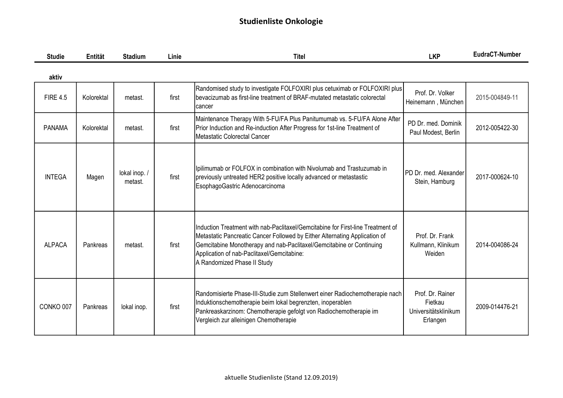| <b>Studie</b>   | Entität    | <b>Stadium</b>          | Linie | <b>Titel</b>                                                                                                                                                                                                                                                                                                       | <b>LKP</b>                                                      | EudraCT-Number |
|-----------------|------------|-------------------------|-------|--------------------------------------------------------------------------------------------------------------------------------------------------------------------------------------------------------------------------------------------------------------------------------------------------------------------|-----------------------------------------------------------------|----------------|
| aktiv           |            |                         |       |                                                                                                                                                                                                                                                                                                                    |                                                                 |                |
| <b>FIRE 4.5</b> | Kolorektal | metast.                 | first | Randomised study to investigate FOLFOXIRI plus cetuximab or FOLFOXIRI plus<br>bevacizumab as first-line treatment of BRAF-mutated metastatic colorectal<br>cancer                                                                                                                                                  | Prof. Dr. Volker<br>Heinemann, München                          | 2015-004849-11 |
| <b>PANAMA</b>   | Kolorektal | metast.                 | first | Maintenance Therapy With 5-FU/FA Plus Panitumumab vs. 5-FU/FA Alone After<br>Prior Induction and Re-induction After Progress for 1st-line Treatment of<br>Metastatic Colorectal Cancer                                                                                                                             | PD Dr. med. Dominik<br>Paul Modest, Berlin                      | 2012-005422-30 |
| <b>INTEGA</b>   | Magen      | lokal inop./<br>metast. | first | Ipilimumab or FOLFOX in combination with Nivolumab and Trastuzumab in<br>previously untreated HER2 positive locally advanced or metastastic<br>EsophagoGastric Adenocarcinoma                                                                                                                                      | PD Dr. med. Alexander<br>Stein, Hamburg                         | 2017-000624-10 |
| <b>ALPACA</b>   | Pankreas   | metast.                 | first | Induction Treatment with nab-Paclitaxel/Gemcitabine for First-line Treatment of<br>Metastatic Pancreatic Cancer Followed by Either Alternating Application of<br>Gemcitabine Monotherapy and nab-Paclitaxel/Gemcitabine or Continuing<br>Application of nab-Paclitaxel/Gemcitabine:<br>A Randomized Phase II Study | Prof. Dr. Frank<br>Kullmann, Klinikum<br>Weiden                 | 2014-004086-24 |
| CONKO 007       | Pankreas   | lokal inop.             | first | Randomisierte Phase-III-Studie zum Stellenwert einer Radiochemotherapie nach<br>Induktionschemotherapie beim lokal begrenzten, inoperablen<br>Pankreaskarzinom: Chemotherapie gefolgt von Radiochemotherapie im<br>Vergleich zur alleinigen Chemotherapie                                                          | Prof. Dr. Rainer<br>Fietkau<br>Universitätsklinikum<br>Erlangen | 2009-014476-21 |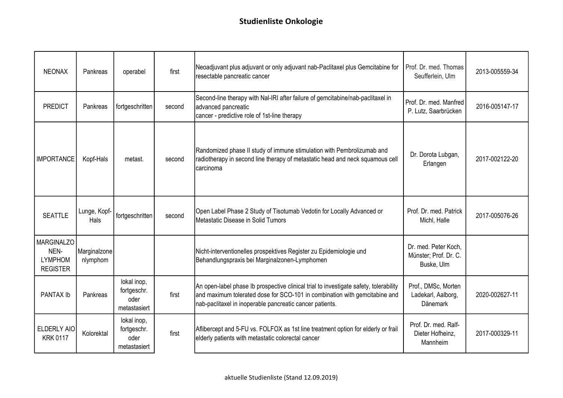| <b>NEONAX</b>                                                  | Pankreas                 | operabel                                           | first  | Neoadjuvant plus adjuvant or only adjuvant nab-Paclitaxel plus Gemcitabine for<br>resectable pancreatic cancer                                                                                                                  | Prof. Dr. med. Thomas<br>Seufferlein, Ulm                    | 2013-005559-34 |
|----------------------------------------------------------------|--------------------------|----------------------------------------------------|--------|---------------------------------------------------------------------------------------------------------------------------------------------------------------------------------------------------------------------------------|--------------------------------------------------------------|----------------|
| <b>PREDICT</b>                                                 | Pankreas                 | fortgeschritten                                    | second | Second-line therapy with Nal-IRI after failure of gemcitabine/nab-paclitaxel in<br>advanced pancreatic<br>cancer - predictive role of 1st-line therapy                                                                          | Prof. Dr. med. Manfred<br>P. Lutz, Saarbrücken               | 2016-005147-17 |
| <b>IMPORTANCE</b>                                              | Kopf-Hals                | metast.                                            | second | Randomized phase II study of immune stimulation with Pembrolizumab and<br>radiotherapy in second line therapy of metastatic head and neck squamous cell<br>carcinoma                                                            | Dr. Dorota Lubgan,<br>Erlangen                               | 2017-002122-20 |
| <b>SEATTLE</b>                                                 | Lunge, Kopf-<br>Hals     | fortgeschritten                                    | second | Open Label Phase 2 Study of Tisotumab Vedotin for Locally Advanced or<br>Metastatic Disease in Solid Tumors                                                                                                                     | Prof. Dr. med. Patrick<br>Michl, Halle                       | 2017-005076-26 |
| <b>MARGINALZO</b><br>NEN-<br><b>LYMPHOM</b><br><b>REGISTER</b> | Marginalzone<br>nlymphom |                                                    |        | Nicht-interventionelles prospektives Register zu Epidemiologie und<br>Behandlungspraxis bei Marginalzonen-Lymphomen                                                                                                             | Dr. med. Peter Koch,<br>Münster; Prof. Dr. C.<br>Buske, Ulm  |                |
| PANTAX Ib                                                      | Pankreas                 | lokal inop,<br>fortgeschr.<br>oder<br>metastasiert | first  | An open-label phase Ib prospective clinical trial to investigate safety, tolerability<br>and maximum tolerated dose for SCO-101 in combination with gemcitabine and<br>nab-paclitaxel in inoperable pancreatic cancer patients. | Prof., DMSc, Morten<br>Ladekarl, Aalborg,<br><b>Dänemark</b> | 2020-002627-11 |
| <b>ELDERLY AIO</b><br><b>KRK 0117</b>                          | Kolorektal               | lokal inop,<br>fortgeschr.<br>oder<br>metastasiert | first  | Aflibercept and 5-FU vs. FOLFOX as 1st line treatment option for elderly or frail<br>elderly patients with metastatic colorectal cancer                                                                                         | Prof. Dr. med. Ralf-<br>Dieter Hofheinz,<br>Mannheim         | 2017-000329-11 |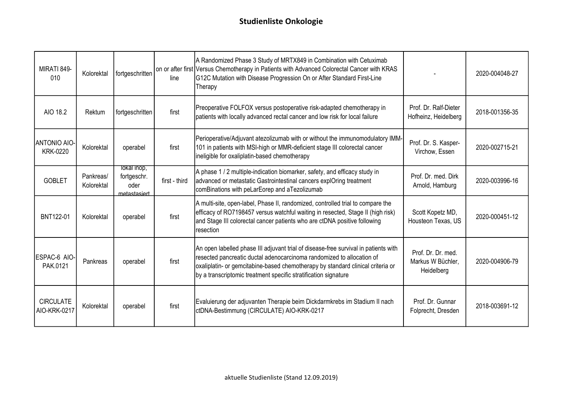| MIRATI 849-<br>010                     | Kolorektal              | fortgeschritten                                    | line          | A Randomized Phase 3 Study of MRTX849 in Combination with Cetuximab<br>on or after first Versus Chemotherapy in Patients with Advanced Colorectal Cancer with KRAS<br>G12C Mutation with Disease Progression On or After Standard First-Line<br>Therapy                                                            |                                                       | 2020-004048-27 |
|----------------------------------------|-------------------------|----------------------------------------------------|---------------|--------------------------------------------------------------------------------------------------------------------------------------------------------------------------------------------------------------------------------------------------------------------------------------------------------------------|-------------------------------------------------------|----------------|
| AIO 18.2                               | Rektum                  | fortgeschritten                                    | first         | Preoperative FOLFOX versus postoperative risk-adapted chemotherapy in<br>patients with locally advanced rectal cancer and low risk for local failure                                                                                                                                                               | Prof. Dr. Ralf-Dieter<br>Hofheinz, Heidelberg         | 2018-001356-35 |
| <b>ANTONIO AIO-</b><br><b>KRK-0220</b> | Kolorektal              | operabel                                           | first         | Perioperative/Adjuvant atezolizumab with or without the immunomodulatory IMM-<br>101 in patients with MSI-high or MMR-deficient stage III colorectal cancer<br>ineligible for oxaliplatin-based chemotherapy                                                                                                       | Prof. Dr. S. Kasper-<br>Virchow, Essen                | 2020-002715-21 |
| <b>GOBLET</b>                          | Pankreas/<br>Kolorektal | lokal inop,<br>fortgeschr.<br>oder<br>metastasiert | first - third | A phase 1 / 2 multiple-indication biomarker, safety, and efficacy study in<br>advanced or metastatic Gastrointestinal cancers explOring treatment<br>comBinations with peLarEorep and aTezolizumab                                                                                                                 | Prof. Dr. med. Dirk<br>Arnold, Hamburg                | 2020-003996-16 |
| BNT122-01                              | Kolorektal              | operabel                                           | first         | A multi-site, open-label, Phase II, randomized, controlled trial to compare the<br>efficacy of RO7198457 versus watchful waiting in resected, Stage II (high risk)<br>and Stage III colorectal cancer patients who are ctDNA positive following<br>resection                                                       | Scott Kopetz MD,<br>Housteon Texas, US                | 2020-000451-12 |
| ESPAC-6 AIO-<br>PAK.0121               | Pankreas                | operabel                                           | first         | An open labelled phase III adjuvant trial of disease-free survival in patients with<br>resected pancreatic ductal adenocarcinoma randomized to allocation of<br>oxaliplatin- or gemcitabine-based chemotherapy by standard clinical criteria or<br>by a transcriptomic treatment specific stratification signature | Prof. Dr. Dr. med.<br>Markus W Büchler,<br>Heidelberg | 2020-004906-79 |
| <b>CIRCULATE</b><br>AIO-KRK-0217       | Kolorektal              | operabel                                           | first         | Evaluierung der adjuvanten Therapie beim Dickdarmkrebs im Stadium II nach<br>ctDNA-Bestimmung (CIRCULATE) AIO-KRK-0217                                                                                                                                                                                             | Prof. Dr. Gunnar<br>Folprecht, Dresden                | 2018-003691-12 |